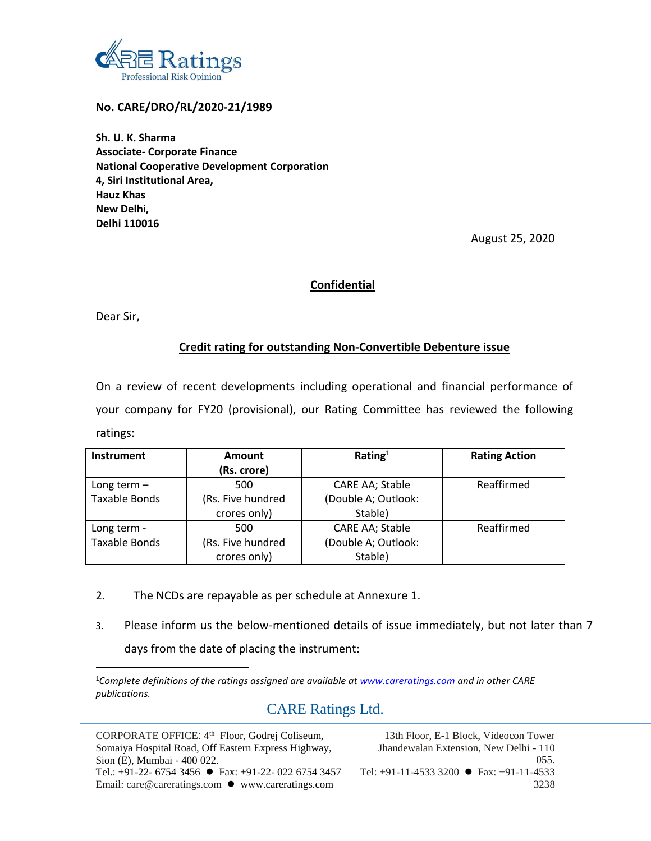

**No. CARE/DRO/RL/2020-21/1989**

**Sh. U. K. Sharma Associate- Corporate Finance National Cooperative Development Corporation 4, Siri Institutional Area, Hauz Khas New Delhi, Delhi 110016**

August 25, 2020

### **Confidential**

Dear Sir,

### **Credit rating for outstanding Non-Convertible Debenture issue**

On a review of recent developments including operational and financial performance of your company for FY20 (provisional), our Rating Committee has reviewed the following ratings:

| <b>Instrument</b>    | Amount            | Rating $1$          | <b>Rating Action</b> |
|----------------------|-------------------|---------------------|----------------------|
|                      | (Rs. crore)       |                     |                      |
| Long term $-$        | 500               | CARE AA; Stable     | Reaffirmed           |
| <b>Taxable Bonds</b> | (Rs. Five hundred | (Double A; Outlook: |                      |
|                      | crores only)      | Stable)             |                      |
| Long term -          | 500               | CARE AA; Stable     | Reaffirmed           |
| <b>Taxable Bonds</b> | (Rs. Five hundred | (Double A; Outlook: |                      |
|                      | crores only)      | Stable)             |                      |

- 2. The NCDs are repayable as per schedule at Annexure 1.
- 3. Please inform us the below-mentioned details of issue immediately, but not later than 7 days from the date of placing the instrument:

## CARE Ratings Ltd.

CORPORATE OFFICE: 4<sup>th</sup> Floor, Godrej Coliseum, Somaiya Hospital Road, Off Eastern Express Highway, Sion (E), Mumbai - 400 022. Tel.: +91-22- 6754 3456 Fax: +91-22- 022 6754 3457 Email: care@careratings.com ● www.careratings.com

13th Floor, E-1 Block, Videocon Tower Jhandewalan Extension, New Delhi - 110 055. Tel: +91-11-4533 3200 Fax: +91-11-4533 3238

<sup>1</sup>*Complete definitions of the ratings assigned are available a[t www.careratings.com](http://www.careratings.com/) and in other CARE publications.*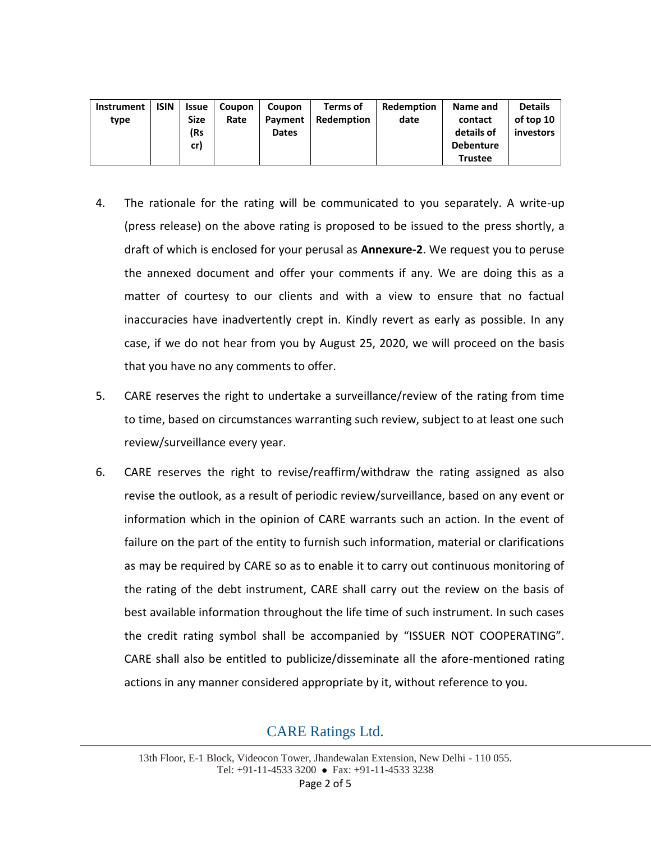| Instrument<br>type | <b>ISIN</b> | <b>Issue</b><br><b>Size</b><br>(Rs | <b>Coupon</b><br>Rate | Coupon<br>Payment<br><b>Dates</b> | Terms of<br>Redemption | Redemption<br>date | Name and<br>contact<br>details of | <b>Details</b><br>of top 10<br>investors |
|--------------------|-------------|------------------------------------|-----------------------|-----------------------------------|------------------------|--------------------|-----------------------------------|------------------------------------------|
|                    |             | cr)                                |                       |                                   |                        |                    | <b>Debenture</b>                  |                                          |
|                    |             |                                    |                       |                                   |                        |                    | Trustee                           |                                          |

- 4. The rationale for the rating will be communicated to you separately. A write-up (press release) on the above rating is proposed to be issued to the press shortly, a draft of which is enclosed for your perusal as **Annexure-2**. We request you to peruse the annexed document and offer your comments if any. We are doing this as a matter of courtesy to our clients and with a view to ensure that no factual inaccuracies have inadvertently crept in. Kindly revert as early as possible. In any case, if we do not hear from you by August 25, 2020, we will proceed on the basis that you have no any comments to offer.
- 5. CARE reserves the right to undertake a surveillance/review of the rating from time to time, based on circumstances warranting such review, subject to at least one such review/surveillance every year.
- 6. CARE reserves the right to revise/reaffirm/withdraw the rating assigned as also revise the outlook, as a result of periodic review/surveillance, based on any event or information which in the opinion of CARE warrants such an action. In the event of failure on the part of the entity to furnish such information, material or clarifications as may be required by CARE so as to enable it to carry out continuous monitoring of the rating of the debt instrument, CARE shall carry out the review on the basis of best available information throughout the life time of such instrument. In such cases the credit rating symbol shall be accompanied by "ISSUER NOT COOPERATING". CARE shall also be entitled to publicize/disseminate all the afore-mentioned rating actions in any manner considered appropriate by it, without reference to you.

# CARE Ratings Ltd.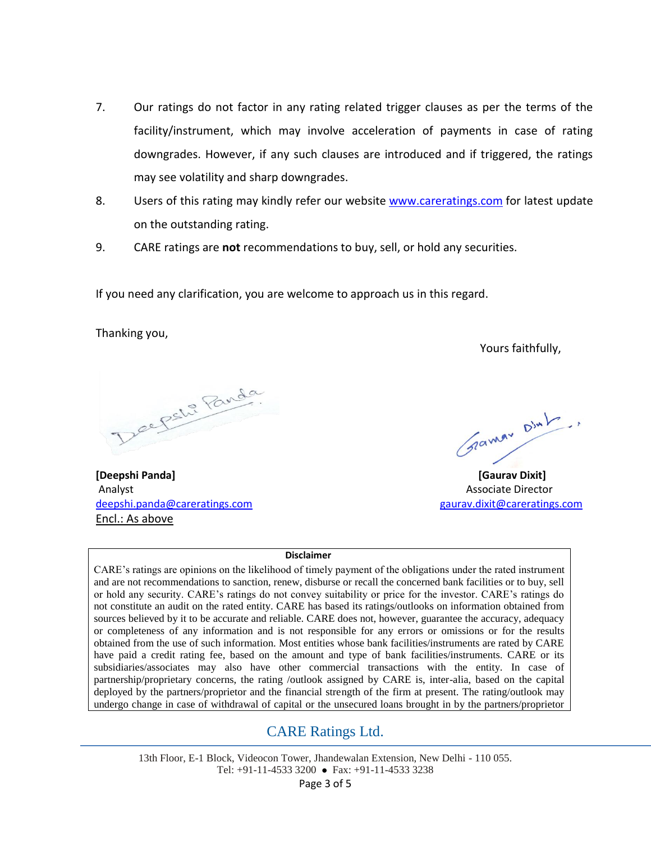- 7. Our ratings do not factor in any rating related trigger clauses as per the terms of the facility/instrument, which may involve acceleration of payments in case of rating downgrades. However, if any such clauses are introduced and if triggered, the ratings may see volatility and sharp downgrades.
- 8. Users of this rating may kindly refer our website [www.careratings.com](http://www.careratings.com/) for latest update on the outstanding rating.
- 9. CARE ratings are **not** recommendations to buy, sell, or hold any securities.

If you need any clarification, you are welcome to approach us in this regard.

Thanking you,

Yours faithfully,

Deepstre Panda

**[Deepshi Panda] [Gaurav Dixit]** Analyst Associate Director [deepshi.panda@careratings.com](mailto:deepshi.panda@careratings.com) [gaurav.dixit@careratings.com](mailto:gaurav.dixit@careratings.com) Encl.: As above

Gramm Dint

#### **Disclaimer**

CARE's ratings are opinions on the likelihood of timely payment of the obligations under the rated instrument and are not recommendations to sanction, renew, disburse or recall the concerned bank facilities or to buy, sell or hold any security. CARE's ratings do not convey suitability or price for the investor. CARE's ratings do not constitute an audit on the rated entity. CARE has based its ratings/outlooks on information obtained from sources believed by it to be accurate and reliable. CARE does not, however, guarantee the accuracy, adequacy or completeness of any information and is not responsible for any errors or omissions or for the results obtained from the use of such information. Most entities whose bank facilities/instruments are rated by CARE have paid a credit rating fee, based on the amount and type of bank facilities/instruments. CARE or its subsidiaries/associates may also have other commercial transactions with the entity. In case of partnership/proprietary concerns, the rating /outlook assigned by CARE is, inter-alia, based on the capital deployed by the partners/proprietor and the financial strength of the firm at present. The rating/outlook may undergo change in case of withdrawal of capital or the unsecured loans brought in by the partners/proprietor

## CARE Ratings Ltd.

13th Floor, E-1 Block, Videocon Tower, Jhandewalan Extension, New Delhi - 110 055. Tel: +91-11-4533 3200 Fax: +91-11-4533 3238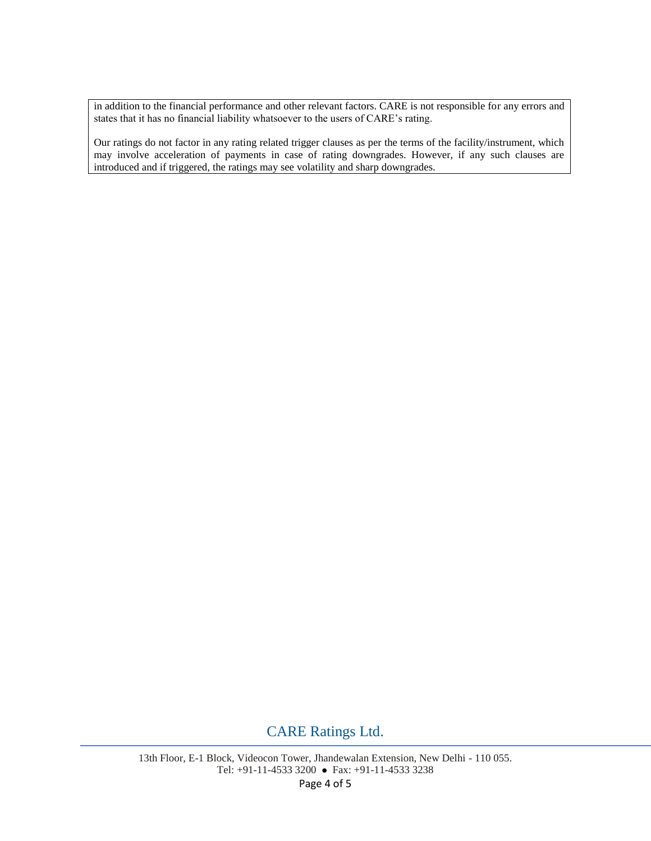in addition to the financial performance and other relevant factors. CARE is not responsible for any errors and states that it has no financial liability whatsoever to the users of CARE's rating.

Our ratings do not factor in any rating related trigger clauses as per the terms of the facility/instrument, which may involve acceleration of payments in case of rating downgrades. However, if any such clauses are introduced and if triggered, the ratings may see volatility and sharp downgrades.

## CARE Ratings Ltd.